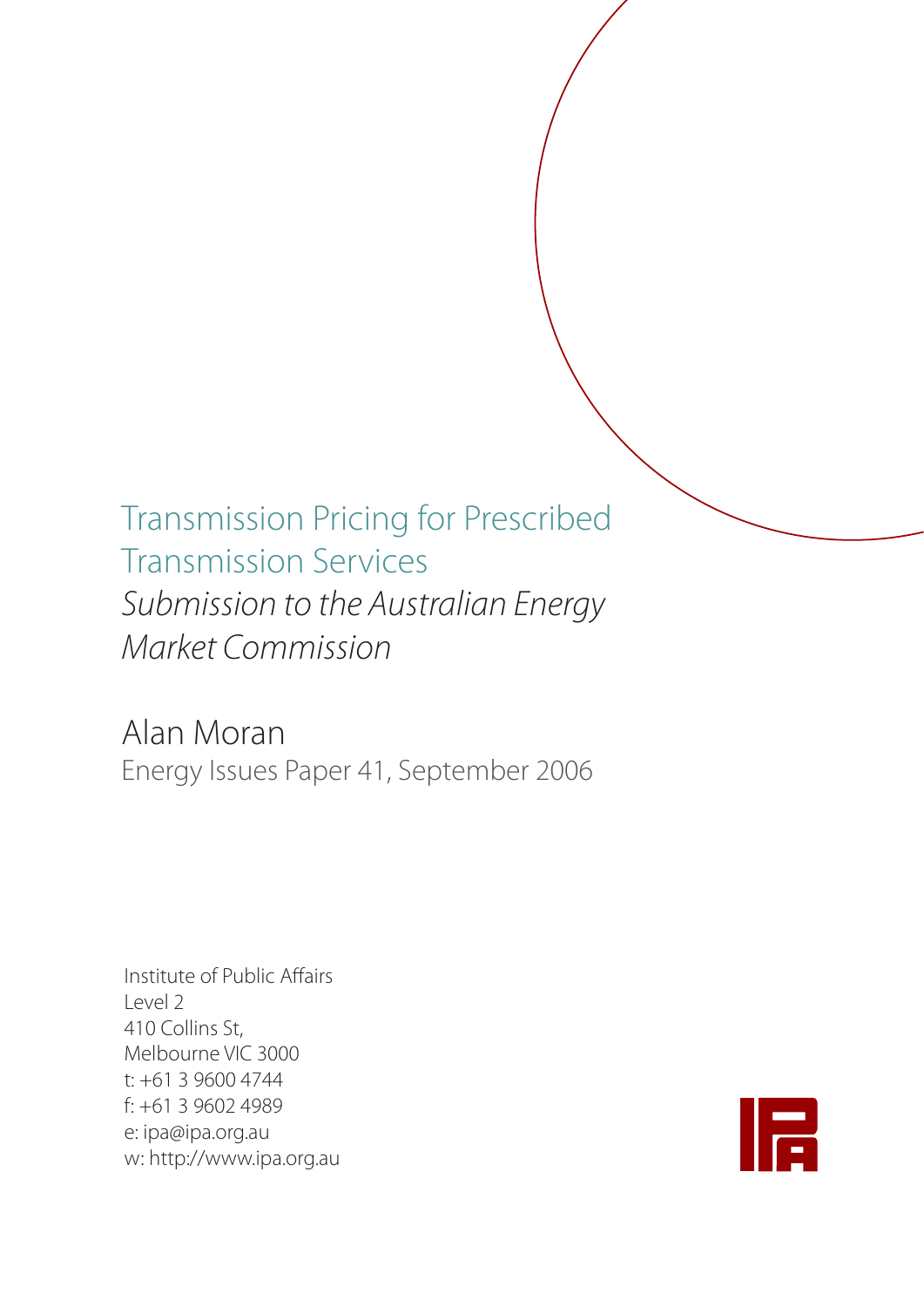# Transmission Pricing for Prescribed Transmission Services *Submission to the Australian Energy Market Commission*

Alan Moran Energy Issues Paper 41, September 2006

Institute of Public Affairs Level 2 410 Collins St, Melbourne VIC 3000 t: +61 3 9600 4744 f: +61 3 9602 4989 e: ipa@ipa.org.au w: http://www.ipa.org.au

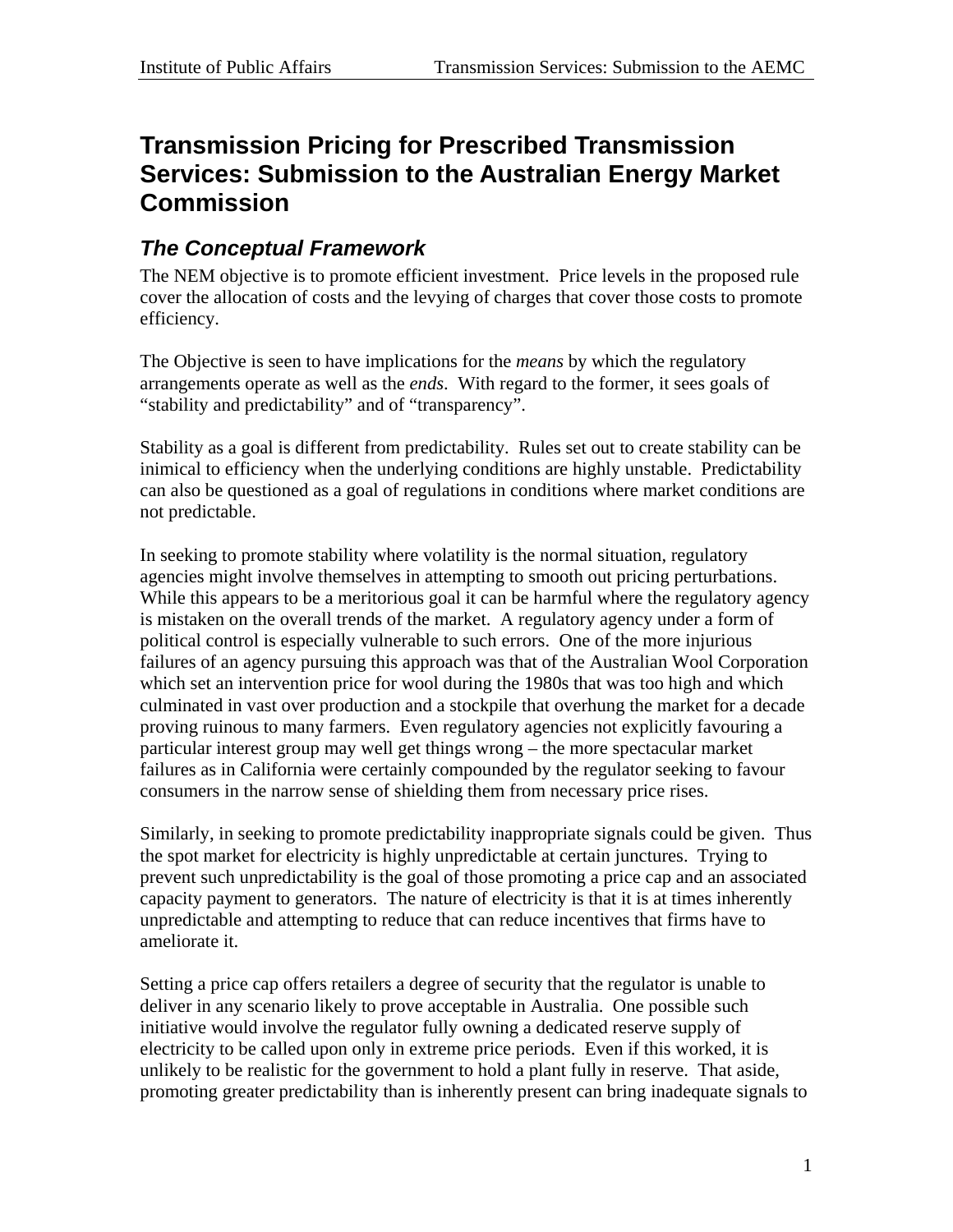## **Transmission Pricing for Prescribed Transmission Services: Submission to the Australian Energy Market Commission**

### *The Conceptual Framework*

The NEM objective is to promote efficient investment. Price levels in the proposed rule cover the allocation of costs and the levying of charges that cover those costs to promote efficiency.

The Objective is seen to have implications for the *means* by which the regulatory arrangements operate as well as the *ends*. With regard to the former, it sees goals of "stability and predictability" and of "transparency".

Stability as a goal is different from predictability. Rules set out to create stability can be inimical to efficiency when the underlying conditions are highly unstable. Predictability can also be questioned as a goal of regulations in conditions where market conditions are not predictable.

In seeking to promote stability where volatility is the normal situation, regulatory agencies might involve themselves in attempting to smooth out pricing perturbations. While this appears to be a meritorious goal it can be harmful where the regulatory agency is mistaken on the overall trends of the market. A regulatory agency under a form of political control is especially vulnerable to such errors. One of the more injurious failures of an agency pursuing this approach was that of the Australian Wool Corporation which set an intervention price for wool during the 1980s that was too high and which culminated in vast over production and a stockpile that overhung the market for a decade proving ruinous to many farmers. Even regulatory agencies not explicitly favouring a particular interest group may well get things wrong – the more spectacular market failures as in California were certainly compounded by the regulator seeking to favour consumers in the narrow sense of shielding them from necessary price rises.

Similarly, in seeking to promote predictability inappropriate signals could be given. Thus the spot market for electricity is highly unpredictable at certain junctures. Trying to prevent such unpredictability is the goal of those promoting a price cap and an associated capacity payment to generators. The nature of electricity is that it is at times inherently unpredictable and attempting to reduce that can reduce incentives that firms have to ameliorate it.

Setting a price cap offers retailers a degree of security that the regulator is unable to deliver in any scenario likely to prove acceptable in Australia. One possible such initiative would involve the regulator fully owning a dedicated reserve supply of electricity to be called upon only in extreme price periods. Even if this worked, it is unlikely to be realistic for the government to hold a plant fully in reserve. That aside, promoting greater predictability than is inherently present can bring inadequate signals to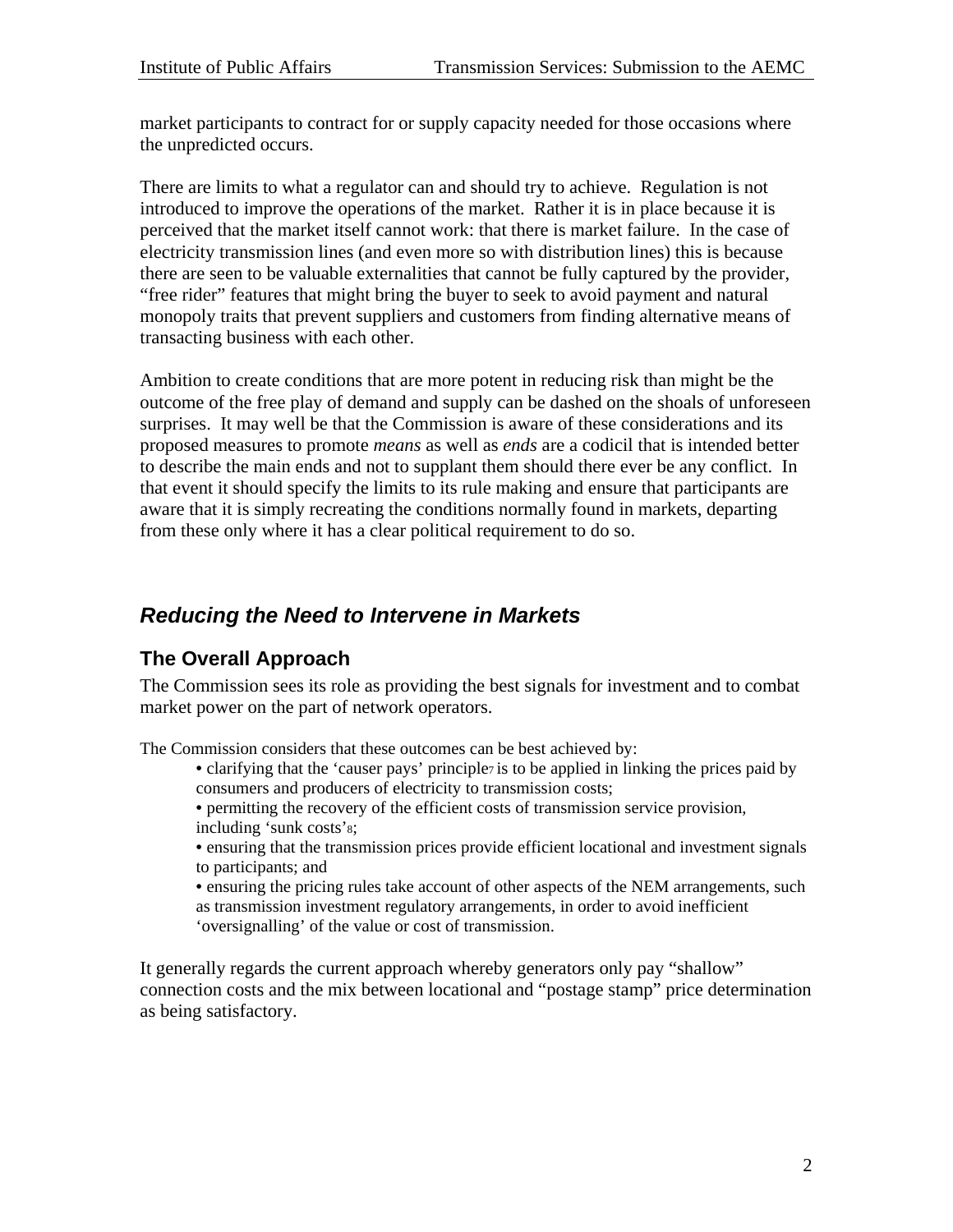market participants to contract for or supply capacity needed for those occasions where the unpredicted occurs.

There are limits to what a regulator can and should try to achieve. Regulation is not introduced to improve the operations of the market. Rather it is in place because it is perceived that the market itself cannot work: that there is market failure. In the case of electricity transmission lines (and even more so with distribution lines) this is because there are seen to be valuable externalities that cannot be fully captured by the provider, "free rider" features that might bring the buyer to seek to avoid payment and natural monopoly traits that prevent suppliers and customers from finding alternative means of transacting business with each other.

Ambition to create conditions that are more potent in reducing risk than might be the outcome of the free play of demand and supply can be dashed on the shoals of unforeseen surprises. It may well be that the Commission is aware of these considerations and its proposed measures to promote *means* as well as *ends* are a codicil that is intended better to describe the main ends and not to supplant them should there ever be any conflict. In that event it should specify the limits to its rule making and ensure that participants are aware that it is simply recreating the conditions normally found in markets, departing from these only where it has a clear political requirement to do so.

#### *Reducing the Need to Intervene in Markets*

#### **The Overall Approach**

The Commission sees its role as providing the best signals for investment and to combat market power on the part of network operators.

The Commission considers that these outcomes can be best achieved by:

- clarifying that the 'causer pays' principle<sub>7</sub> is to be applied in linking the prices paid by consumers and producers of electricity to transmission costs;
- permitting the recovery of the efficient costs of transmission service provision, including 'sunk costs'8;
- ensuring that the transmission prices provide efficient locational and investment signals to participants; and
- ensuring the pricing rules take account of other aspects of the NEM arrangements, such as transmission investment regulatory arrangements, in order to avoid inefficient 'oversignalling' of the value or cost of transmission.

It generally regards the current approach whereby generators only pay "shallow" connection costs and the mix between locational and "postage stamp" price determination as being satisfactory.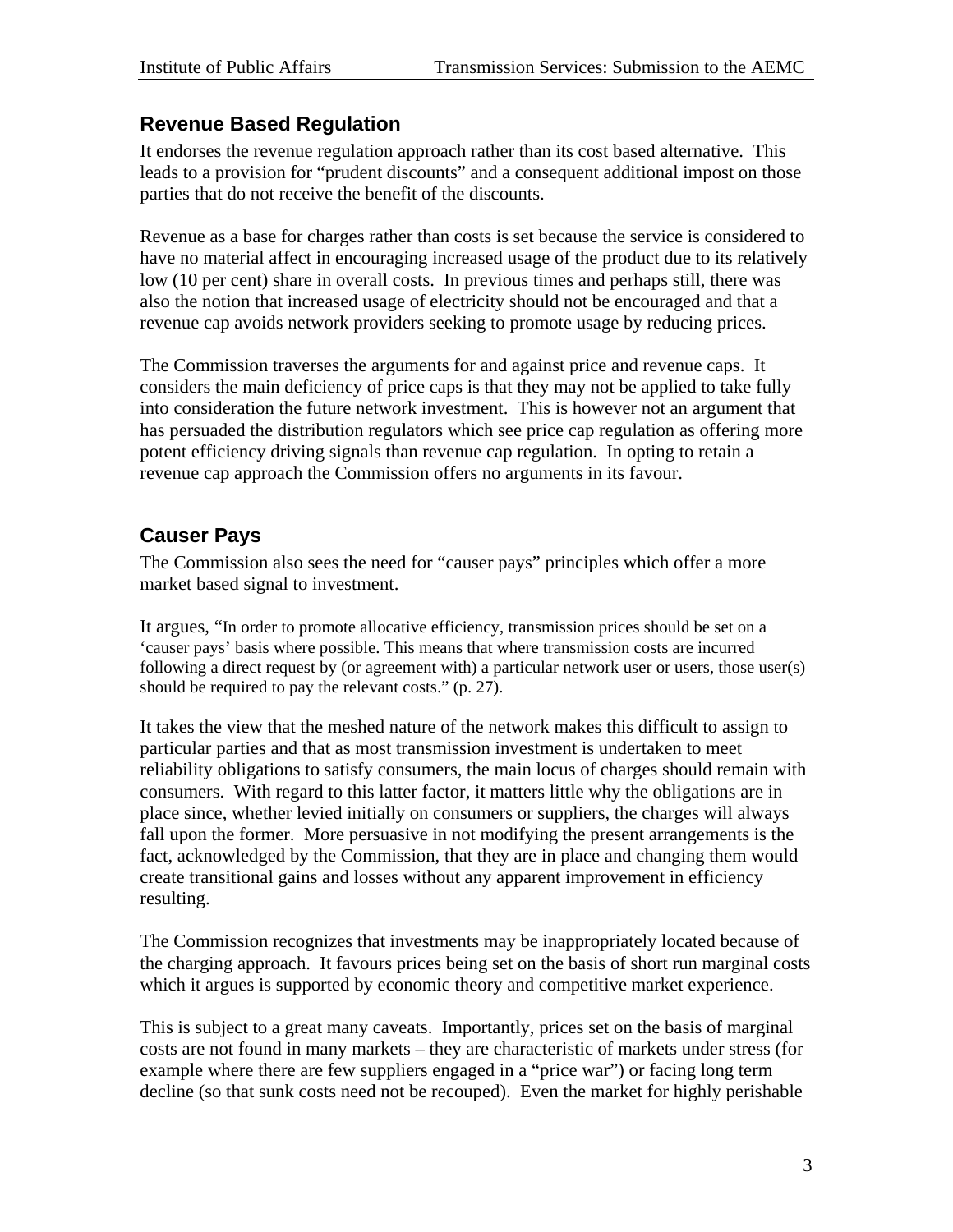#### **Revenue Based Regulation**

It endorses the revenue regulation approach rather than its cost based alternative. This leads to a provision for "prudent discounts" and a consequent additional impost on those parties that do not receive the benefit of the discounts.

Revenue as a base for charges rather than costs is set because the service is considered to have no material affect in encouraging increased usage of the product due to its relatively low (10 per cent) share in overall costs. In previous times and perhaps still, there was also the notion that increased usage of electricity should not be encouraged and that a revenue cap avoids network providers seeking to promote usage by reducing prices.

The Commission traverses the arguments for and against price and revenue caps. It considers the main deficiency of price caps is that they may not be applied to take fully into consideration the future network investment. This is however not an argument that has persuaded the distribution regulators which see price cap regulation as offering more potent efficiency driving signals than revenue cap regulation. In opting to retain a revenue cap approach the Commission offers no arguments in its favour.

#### **Causer Pays**

The Commission also sees the need for "causer pays" principles which offer a more market based signal to investment.

It argues, "In order to promote allocative efficiency, transmission prices should be set on a 'causer pays' basis where possible. This means that where transmission costs are incurred following a direct request by (or agreement with) a particular network user or users, those user(s) should be required to pay the relevant costs." (p. 27).

It takes the view that the meshed nature of the network makes this difficult to assign to particular parties and that as most transmission investment is undertaken to meet reliability obligations to satisfy consumers, the main locus of charges should remain with consumers. With regard to this latter factor, it matters little why the obligations are in place since, whether levied initially on consumers or suppliers, the charges will always fall upon the former. More persuasive in not modifying the present arrangements is the fact, acknowledged by the Commission, that they are in place and changing them would create transitional gains and losses without any apparent improvement in efficiency resulting.

The Commission recognizes that investments may be inappropriately located because of the charging approach. It favours prices being set on the basis of short run marginal costs which it argues is supported by economic theory and competitive market experience.

This is subject to a great many caveats. Importantly, prices set on the basis of marginal costs are not found in many markets – they are characteristic of markets under stress (for example where there are few suppliers engaged in a "price war") or facing long term decline (so that sunk costs need not be recouped). Even the market for highly perishable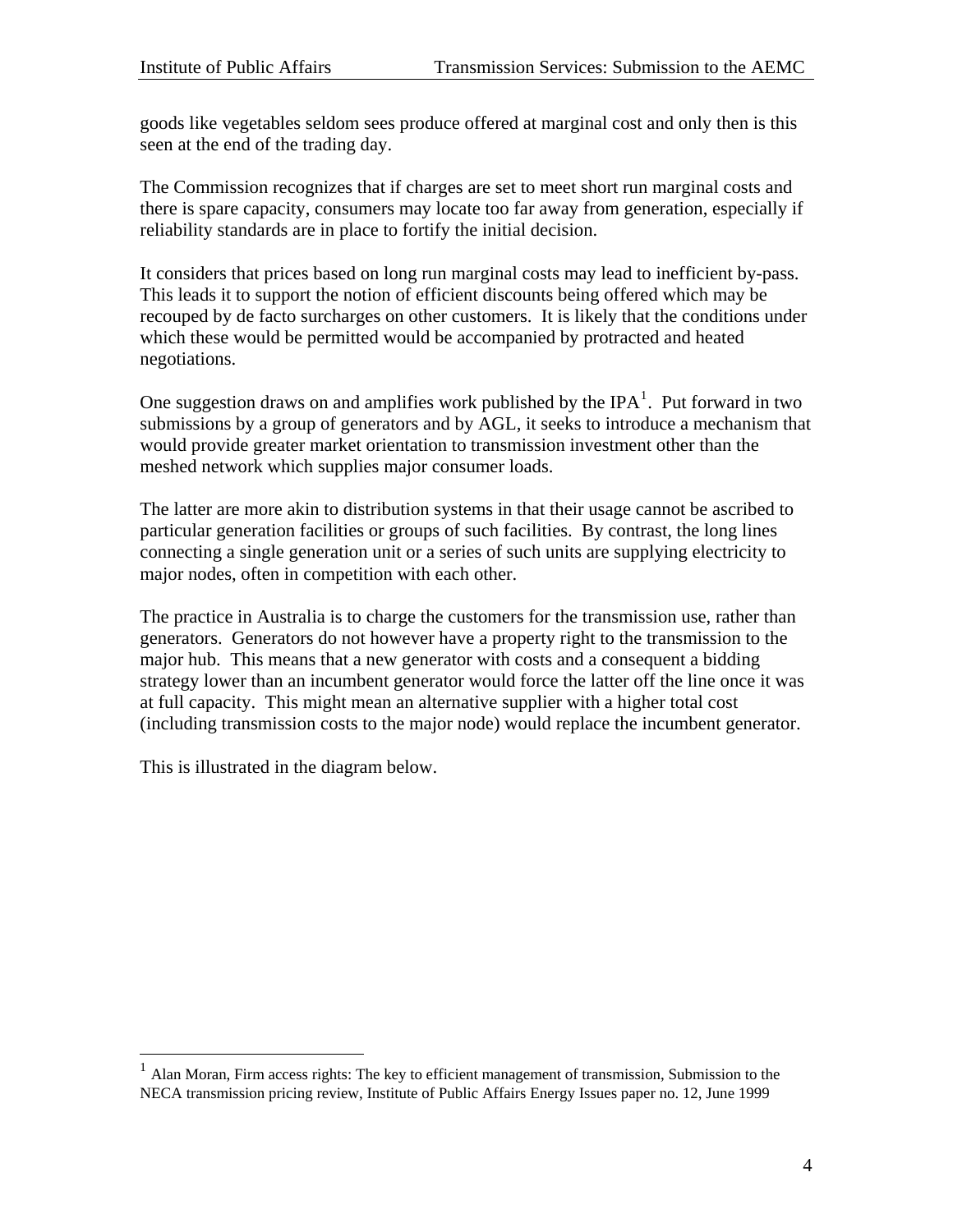goods like vegetables seldom sees produce offered at marginal cost and only then is this seen at the end of the trading day.

The Commission recognizes that if charges are set to meet short run marginal costs and there is spare capacity, consumers may locate too far away from generation, especially if reliability standards are in place to fortify the initial decision.

It considers that prices based on long run marginal costs may lead to inefficient by-pass. This leads it to support the notion of efficient discounts being offered which may be recouped by de facto surcharges on other customers. It is likely that the conditions under which these would be permitted would be accompanied by protracted and heated negotiations.

One suggestion draws on and amplifies work published by the IPA<sup>[1](#page-4-0)</sup>. Put forward in two submissions by a group of generators and by AGL, it seeks to introduce a mechanism that would provide greater market orientation to transmission investment other than the meshed network which supplies major consumer loads.

The latter are more akin to distribution systems in that their usage cannot be ascribed to particular generation facilities or groups of such facilities. By contrast, the long lines connecting a single generation unit or a series of such units are supplying electricity to major nodes, often in competition with each other.

The practice in Australia is to charge the customers for the transmission use, rather than generators. Generators do not however have a property right to the transmission to the major hub. This means that a new generator with costs and a consequent a bidding strategy lower than an incumbent generator would force the latter off the line once it was at full capacity. This might mean an alternative supplier with a higher total cost (including transmission costs to the major node) would replace the incumbent generator.

This is illustrated in the diagram below.

 $\overline{a}$ 

<span id="page-4-0"></span><sup>1</sup> Alan Moran, Firm access rights: The key to efficient management of transmission, Submission to the NECA transmission pricing review, Institute of Public Affairs Energy Issues paper no. 12, June 1999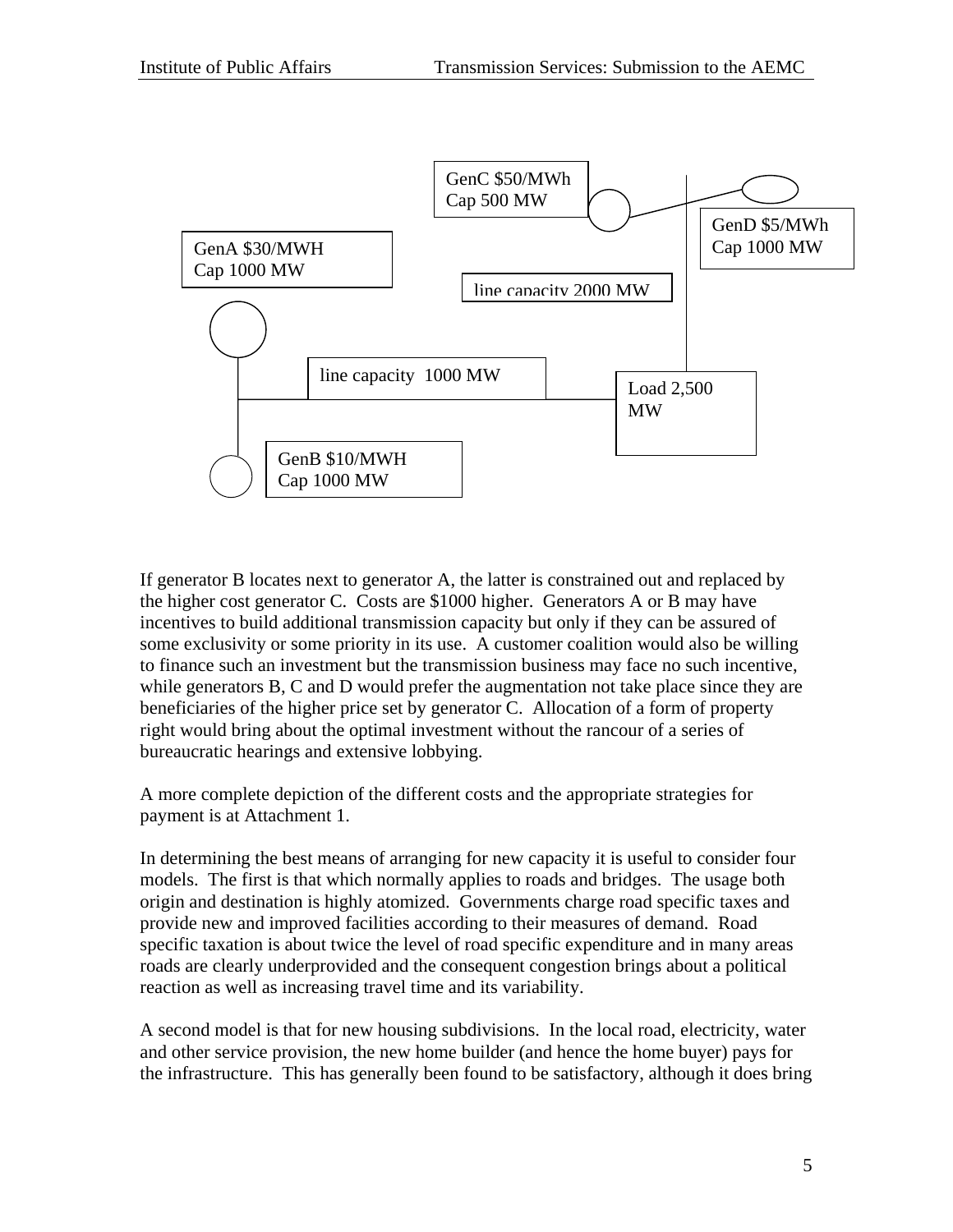

If generator B locates next to generator A, the latter is constrained out and replaced by the higher cost generator C. Costs are \$1000 higher. Generators A or B may have incentives to build additional transmission capacity but only if they can be assured of some exclusivity or some priority in its use. A customer coalition would also be willing to finance such an investment but the transmission business may face no such incentive, while generators B, C and D would prefer the augmentation not take place since they are beneficiaries of the higher price set by generator C. Allocation of a form of property right would bring about the optimal investment without the rancour of a series of bureaucratic hearings and extensive lobbying.

A more complete depiction of the different costs and the appropriate strategies for payment is at Attachment 1.

In determining the best means of arranging for new capacity it is useful to consider four models. The first is that which normally applies to roads and bridges. The usage both origin and destination is highly atomized. Governments charge road specific taxes and provide new and improved facilities according to their measures of demand. Road specific taxation is about twice the level of road specific expenditure and in many areas roads are clearly underprovided and the consequent congestion brings about a political reaction as well as increasing travel time and its variability.

A second model is that for new housing subdivisions. In the local road, electricity, water and other service provision, the new home builder (and hence the home buyer) pays for the infrastructure. This has generally been found to be satisfactory, although it does bring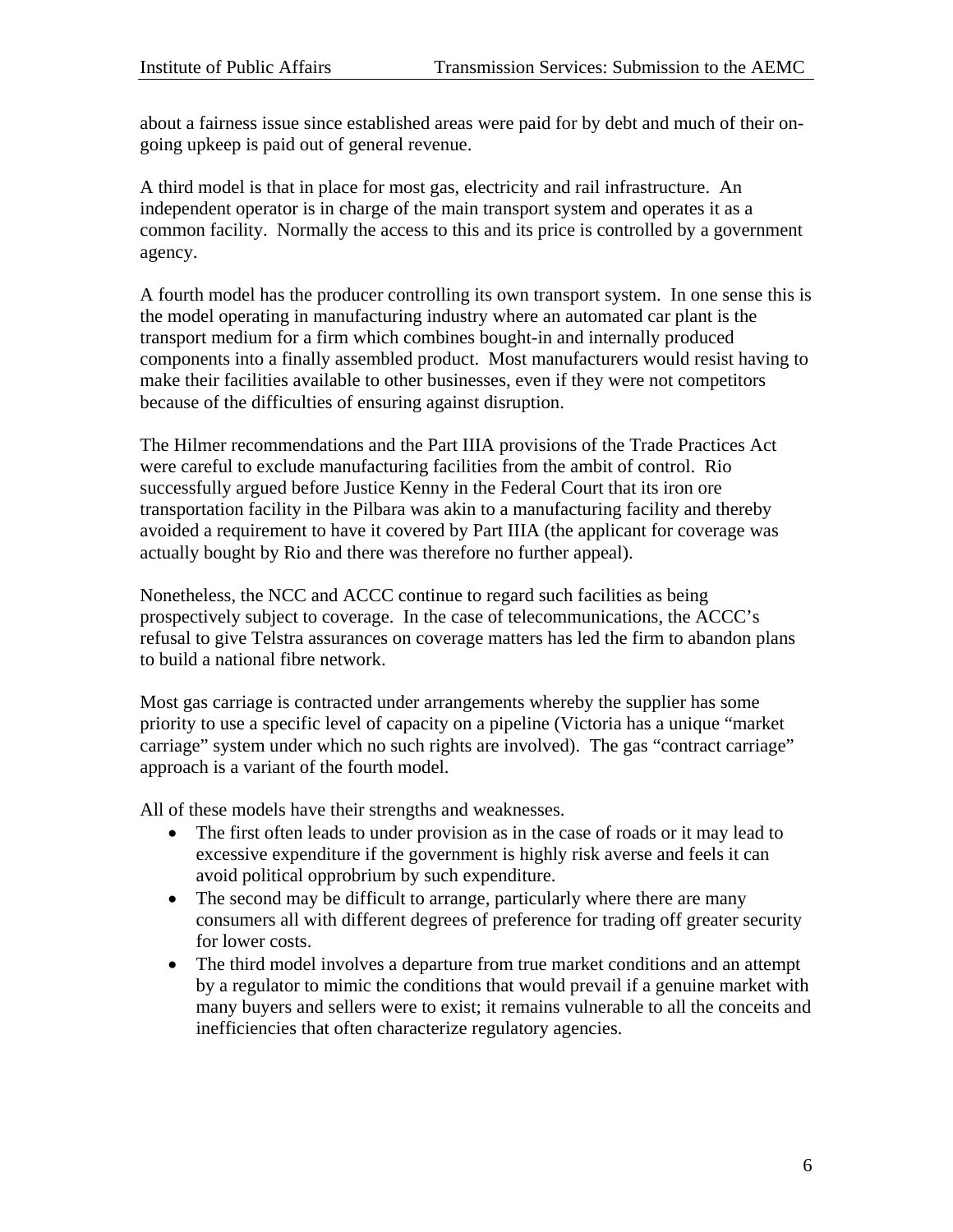about a fairness issue since established areas were paid for by debt and much of their ongoing upkeep is paid out of general revenue.

A third model is that in place for most gas, electricity and rail infrastructure. An independent operator is in charge of the main transport system and operates it as a common facility. Normally the access to this and its price is controlled by a government agency.

A fourth model has the producer controlling its own transport system. In one sense this is the model operating in manufacturing industry where an automated car plant is the transport medium for a firm which combines bought-in and internally produced components into a finally assembled product. Most manufacturers would resist having to make their facilities available to other businesses, even if they were not competitors because of the difficulties of ensuring against disruption.

The Hilmer recommendations and the Part IIIA provisions of the Trade Practices Act were careful to exclude manufacturing facilities from the ambit of control. Rio successfully argued before Justice Kenny in the Federal Court that its iron ore transportation facility in the Pilbara was akin to a manufacturing facility and thereby avoided a requirement to have it covered by Part IIIA (the applicant for coverage was actually bought by Rio and there was therefore no further appeal).

Nonetheless, the NCC and ACCC continue to regard such facilities as being prospectively subject to coverage. In the case of telecommunications, the ACCC's refusal to give Telstra assurances on coverage matters has led the firm to abandon plans to build a national fibre network.

Most gas carriage is contracted under arrangements whereby the supplier has some priority to use a specific level of capacity on a pipeline (Victoria has a unique "market carriage" system under which no such rights are involved). The gas "contract carriage" approach is a variant of the fourth model.

All of these models have their strengths and weaknesses.

- The first often leads to under provision as in the case of roads or it may lead to excessive expenditure if the government is highly risk averse and feels it can avoid political opprobrium by such expenditure.
- The second may be difficult to arrange, particularly where there are many consumers all with different degrees of preference for trading off greater security for lower costs.
- The third model involves a departure from true market conditions and an attempt by a regulator to mimic the conditions that would prevail if a genuine market with many buyers and sellers were to exist; it remains vulnerable to all the conceits and inefficiencies that often characterize regulatory agencies.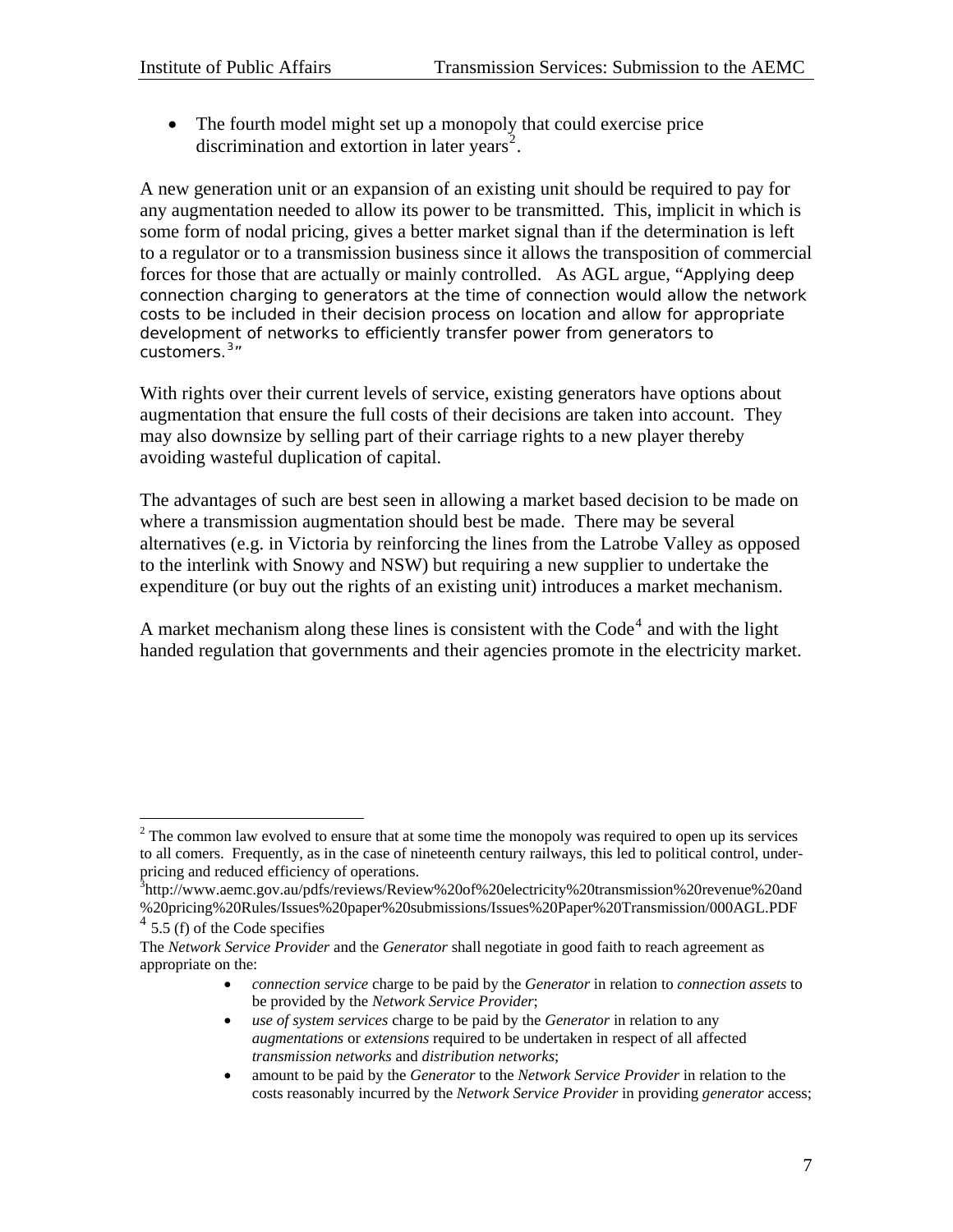$\overline{a}$ 

• The fourth model might set up a monopoly that could exercise price discrimination and extortion in later years<sup>[2](#page-7-0)</sup>.

A new generation unit or an expansion of an existing unit should be required to pay for any augmentation needed to allow its power to be transmitted. This, implicit in which is some form of nodal pricing, gives a better market signal than if the determination is left to a regulator or to a transmission business since it allows the transposition of commercial forces for those that are actually or mainly controlled. As AGL argue, "Applying deep connection charging to generators at the time of connection would allow the network costs to be included in their decision process on location and allow for appropriate development of networks to efficiently transfer power from generators to customers. $3''$  $3''$ 

With rights over their current levels of service, existing generators have options about augmentation that ensure the full costs of their decisions are taken into account. They may also downsize by selling part of their carriage rights to a new player thereby avoiding wasteful duplication of capital.

The advantages of such are best seen in allowing a market based decision to be made on where a transmission augmentation should best be made. There may be several alternatives (e.g. in Victoria by reinforcing the lines from the Latrobe Valley as opposed to the interlink with Snowy and NSW) but requiring a new supplier to undertake the expenditure (or buy out the rights of an existing unit) introduces a market mechanism.

A market mechanism along these lines is consistent with the  $Code<sup>4</sup>$  $Code<sup>4</sup>$  $Code<sup>4</sup>$  and with the light handed regulation that governments and their agencies promote in the electricity market.

- *connection service* charge to be paid by the *Generator* in relation to *connection assets* to be provided by the *Network Service Provider*;
- *use of system services* charge to be paid by the *Generator* in relation to any *augmentations* or *extensions* required to be undertaken in respect of all affected *transmission networks* and *distribution networks*;
- amount to be paid by the *Generator* to the *Network Service Provider* in relation to the costs reasonably incurred by the *Network Service Provider* in providing *generator* access;

<span id="page-7-0"></span> $2^2$  The common law evolved to ensure that at some time the monopoly was required to open up its services to all comers. Frequently, as in the case of nineteenth century railways, this led to political control, underpricing and reduced efficiency of operations.

<span id="page-7-1"></span><sup>&</sup>lt;sup>3</sup>http://www.aemc.gov.au/pdfs/reviews/Review%20of%20electricity%20transmission%20revenue%20and %20pricing%20Rules/Issues%20paper%20submissions/Issues%20Paper%20Transmission/000AGL.PDF  $4\overline{5.5}$  (f) of the Code specifies

<span id="page-7-2"></span>The *Network Service Provider* and the *Generator* shall negotiate in good faith to reach agreement as appropriate on the: